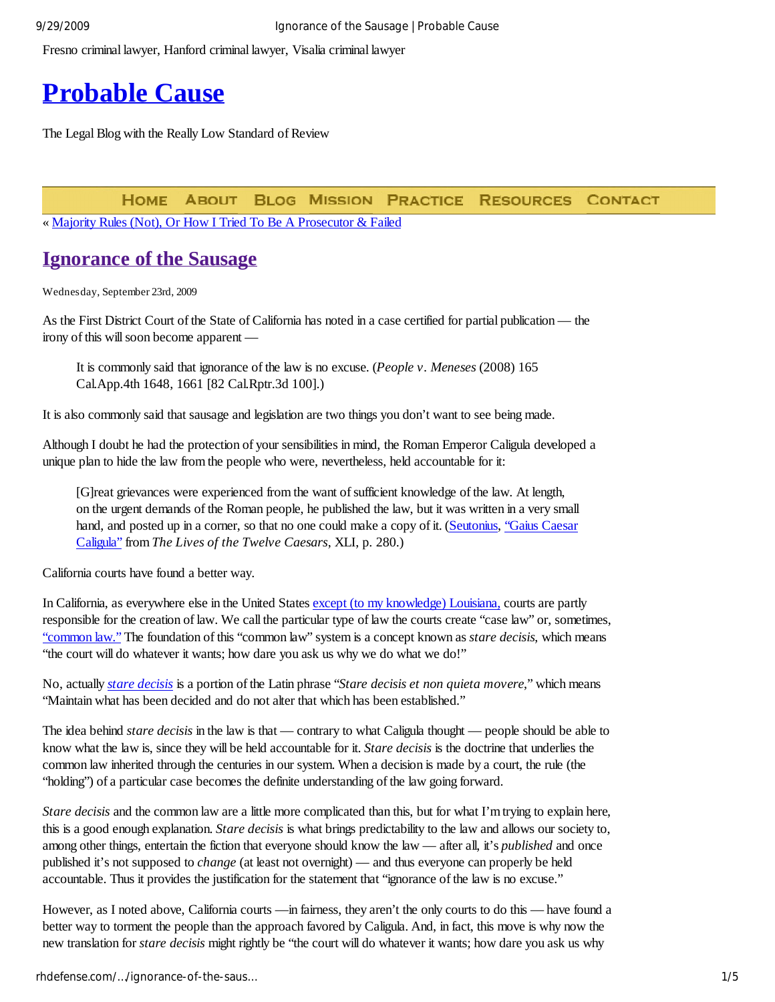Fresno criminal lawyer, Hanford criminal lawyer, Visalia criminal lawyer

# **Probable Cause**

The Legal Blog with the Really Low Standard of Review

**RESOURCES HOME ABOUT BLOG MISSION PRACTICE CONTACT** 

« Majority Rules (Not), Or How I Tried To Be A Prosecutor & Failed

# **Ignorance of the Sausage**

Wednesday, September 23rd, 2009

As the First District Court of the State of California has noted in a case certified for partial publication — the irony of this will soon become apparent —

It is commonly said that ignorance of the law is no excuse. (*People v. Meneses* (2008) 165 Cal.App.4th 1648, 1661 [82 Cal.Rptr.3d 100].)

It is also commonly said that sausage and legislation are two things you don't want to see being made.

Although I doubt he had the protection of your sensibilities in mind, the Roman Emperor Caligula developed a unique plan to hide the law from the people who were, nevertheless, held accountable for it:

[G]reat grievances were experienced from the want of sufficient knowledge of the law. At length, on the urgent demands of the Roman people, he published the law, but it was written in a very small hand, and posted up in a corner, so that no one could make a copy of it. (Seutonius, "Gaius Caesar" Caligula" from *The Lives of the Twelve Caesars*, XLI, p. 280.)

California courts have found a better way.

In California, as everywhere else in the United States except (to my knowledge) Louisiana, courts are partly responsible for the creation of law. We call the particular type of law the courts create "case law" or, sometimes, "common law." The foundation of this "common law" system is a concept known as *stare decisis*, which means "the court will do whatever it wants; how dare you ask us why we do what we do!"

No, actually *stare decisis* is a portion of the Latin phrase "*Stare decisis et non quieta movere*," which means "Maintain what has been decided and do not alter that which has been established."

The idea behind *stare decisis* in the law is that — contrary to what Caligula thought — people should be able to know what the law is, since they will be held accountable for it. *Stare decisis* is the doctrine that underlies the common law inherited through the centuries in our system. When a decision is made by a court, the rule (the "holding") of a particular case becomes the definite understanding of the law going forward.

*Stare decisis* and the common law are a little more complicated than this, but for what I'm trying to explain here, this is a good enough explanation. *Stare decisis* is what brings predictability to the law and allows our society to, among other things, entertain the fiction that everyone should know the law — after all, it's *published* and once published it's not supposed to *change* (at least not overnight) — and thus everyone can properly be held accountable. Thus it provides the justification for the statement that "ignorance of the law is no excuse."

However, as I noted above, California courts —in fairness, they aren't the only courts to do this — have found a better way to torment the people than the approach favored by Caligula. And, in fact, this move is why now the new translation for *stare decisis* might rightly be "the court will do whatever it wants; how dare you ask us why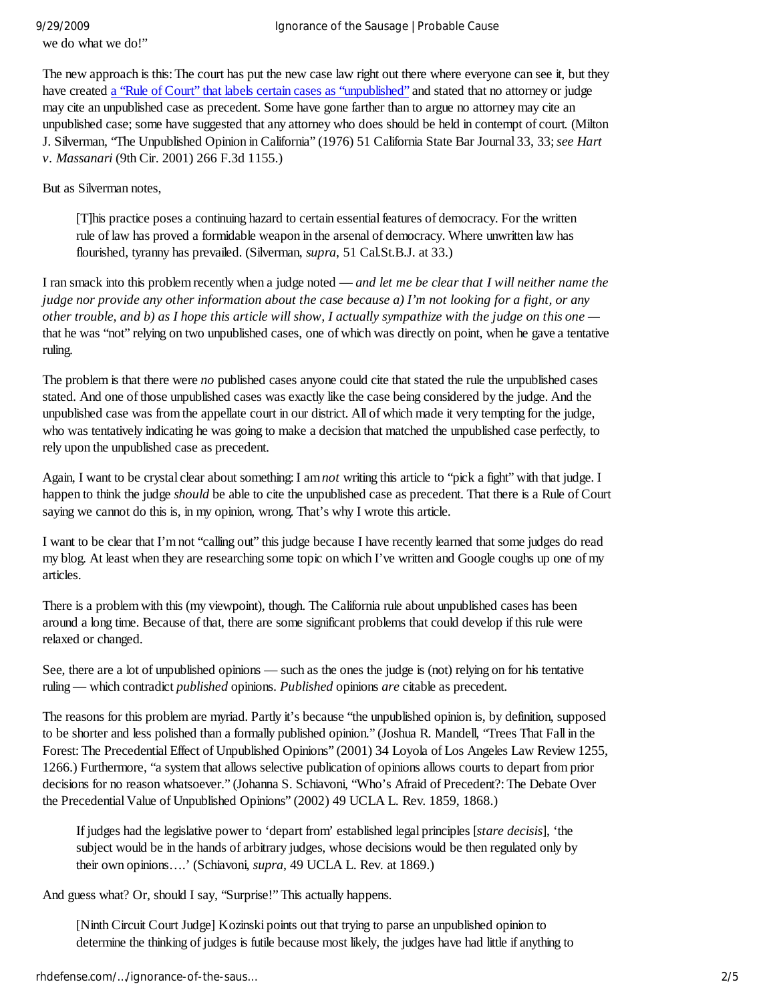we do what we do!"

The new approach is this: The court has put the new case law right out there where everyone can see it, but they have created a "Rule of Court" that labels certain cases as "unpublished" and stated that no attorney or judge may cite an unpublished case as precedent. Some have gone farther than to argue no attorney may cite an unpublished case; some have suggested that any attorney who does should be held in contempt of court. (Milton J. Silverman, "The Unpublished Opinion in California" (1976) 51 California State Bar Journal 33, 33;*see Hart v. Massanari* (9th Cir. 2001) 266 F.3d 1155.)

But as Silverman notes,

[T]his practice poses a continuing hazard to certain essential features of democracy. For the written rule of law has proved a formidable weapon in the arsenal of democracy. Where unwritten law has flourished, tyranny has prevailed. (Silverman, *supra*, 51 Cal.St.B.J. at 33.)

I ran smack into this problem recently when a judge noted — *and let me be clear that I will neither name the judge nor provide any other information about the case because a) I'm not looking for a fight, or any other trouble, and b) as I hope this article will show, I actually sympathize with the judge on this one*  that he was "not" relying on two unpublished cases, one of which was directly on point, when he gave a tentative ruling.

The problem is that there were *no* published cases anyone could cite that stated the rule the unpublished cases stated. And one of those unpublished cases was exactly like the case being considered by the judge. And the unpublished case was from the appellate court in our district. All of which made it very tempting for the judge, who was tentatively indicating he was going to make a decision that matched the unpublished case perfectly, to rely upon the unpublished case as precedent.

Again, I want to be crystal clear about something: I am *not* writing this article to "pick a fight" with that judge. I happen to think the judge *should* be able to cite the unpublished case as precedent. That there is a Rule of Court saying we cannot do this is, in my opinion, wrong. That's why I wrote this article.

I want to be clear that I'm not "calling out" this judge because I have recently learned that some judges do read my blog. At least when they are researching some topic on which I've written and Google coughs up one of my articles.

There is a problem with this (my viewpoint), though. The California rule about unpublished cases has been around a long time. Because of that, there are some significant problems that could develop if this rule were relaxed or changed.

See, there are a lot of unpublished opinions — such as the ones the judge is (not) relying on for his tentative ruling — which contradict *published* opinions. *Published* opinions *are* citable as precedent.

The reasons for this problem are myriad. Partly it's because "the unpublished opinion is, by definition, supposed to be shorter and less polished than a formally published opinion." (Joshua R. Mandell, "Trees That Fall in the Forest: The Precedential Effect of Unpublished Opinions" (2001) 34 Loyola of Los Angeles Law Review 1255, 1266.) Furthermore, "a system that allows selective publication of opinions allows courts to depart from prior decisions for no reason whatsoever." (Johanna S. Schiavoni, "Who's Afraid of Precedent?: The Debate Over the Precedential Value of Unpublished Opinions" (2002) 49 UCLA L. Rev. 1859, 1868.)

If judges had the legislative power to 'depart from' established legal principles [*stare decisis*], 'the subject would be in the hands of arbitrary judges, whose decisions would be then regulated only by their own opinions….' (Schiavoni, *supra*, 49 UCLA L. Rev. at 1869.)

And guess what? Or, should I say, "Surprise!" This actually happens.

[Ninth Circuit Court Judge] Kozinski points out that trying to parse an unpublished opinion to determine the thinking of judges is futile because most likely, the judges have had little if anything to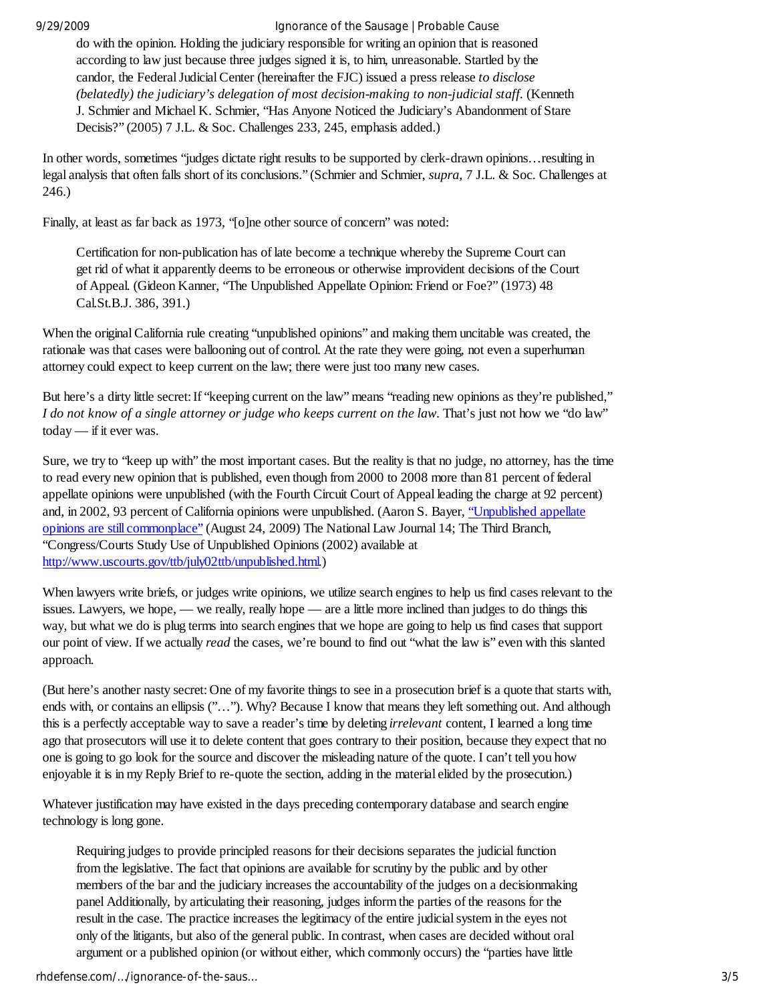#### 9/29/2009 Ignorance of the Sausage | Probable Cause

do with the opinion. Holding the judiciary responsible for writing an opinion that is reasoned according to law just because three judges signed it is, to him, unreasonable. Startled by the candor, the Federal Judicial Center (hereinafter the FJC) issued a press release *to disclose (belatedly) the judiciary's delegation of most decision-making to non-judicial staff.* (Kenneth J. Schmier and Michael K. Schmier, "Has Anyone Noticed the Judiciary's Abandonment of Stare Decisis?" (2005) 7 J.L. & Soc. Challenges 233, 245, emphasis added.)

In other words, sometimes "judges dictate right results to be supported by clerk-drawn opinions…resulting in legal analysis that often falls short of its conclusions." (Schmier and Schmier, *supra,* 7 J.L. & Soc. Challenges at 246.)

Finally, at least as far back as 1973, "[o]ne other source of concern" was noted:

Certification for non-publication has of late become a technique whereby the Supreme Court can get rid of what it apparently deems to be erroneous or otherwise improvident decisions of the Court of Appeal. (Gideon Kanner, "The Unpublished Appellate Opinion: Friend or Foe?" (1973) 48 Cal.St.B.J. 386, 391.)

When the original California rule creating "unpublished opinions" and making them uncitable was created, the rationale was that cases were ballooning out of control. At the rate they were going, not even a superhuman attorney could expect to keep current on the law; there were just too many new cases.

But here's a dirty little secret: If "keeping current on the law" means "reading new opinions as they're published," *I do not know of a single attorney or judge who keeps current on the law*. That's just not how we "do law" today — if it ever was.

Sure, we try to "keep up with" the most important cases. But the reality is that no judge, no attorney, has the time to read every new opinion that is published, even though from 2000 to 2008 more than 81 percent of federal appellate opinions were unpublished (with the Fourth Circuit Court of Appeal leading the charge at 92 percent) and, in 2002, 93 percent of California opinions were unpublished. (Aaron S. Bayer, "Unpublished appellate opinions are still commonplace" (August 24, 2009) The National Law Journal 14; The Third Branch, "Congress/Courts Study Use of Unpublished Opinions (2002) available at http://www.uscourts.gov/ttb/july02ttb/unpublished.html.)

When lawyers write briefs, or judges write opinions, we utilize search engines to help us find cases relevant to the issues. Lawyers, we hope, — we really, really hope — are a little more inclined than judges to do things this way, but what we do is plug terms into search engines that we hope are going to help us find cases that support our point of view. If we actually *read* the cases, we're bound to find out "what the law is" even with this slanted approach.

(But here's another nasty secret: One of my favorite things to see in a prosecution brief is a quote that starts with, ends with, or contains an ellipsis ("…"). Why? Because I know that means they left something out. And although this is a perfectly acceptable way to save a reader's time by deleting *irrelevant* content, I learned a long time ago that prosecutors will use it to delete content that goes contrary to their position, because they expect that no one is going to go look for the source and discover the misleading nature of the quote. I can't tell you how enjoyable it is in my Reply Brief to re-quote the section, adding in the material elided by the prosecution.)

Whatever justification may have existed in the days preceding contemporary database and search engine technology is long gone.

Requiring judges to provide principled reasons for their decisions separates the judicial function from the legislative. The fact that opinions are available for scrutiny by the public and by other members of the bar and the judiciary increases the accountability of the judges on a decisionmaking panel Additionally, by articulating their reasoning, judges inform the parties of the reasons for the result in the case. The practice increases the legitimacy of the entire judicial system in the eyes not only of the litigants, but also of the general public. In contrast, when cases are decided without oral argument or a published opinion (or without either, which commonly occurs) the "parties have little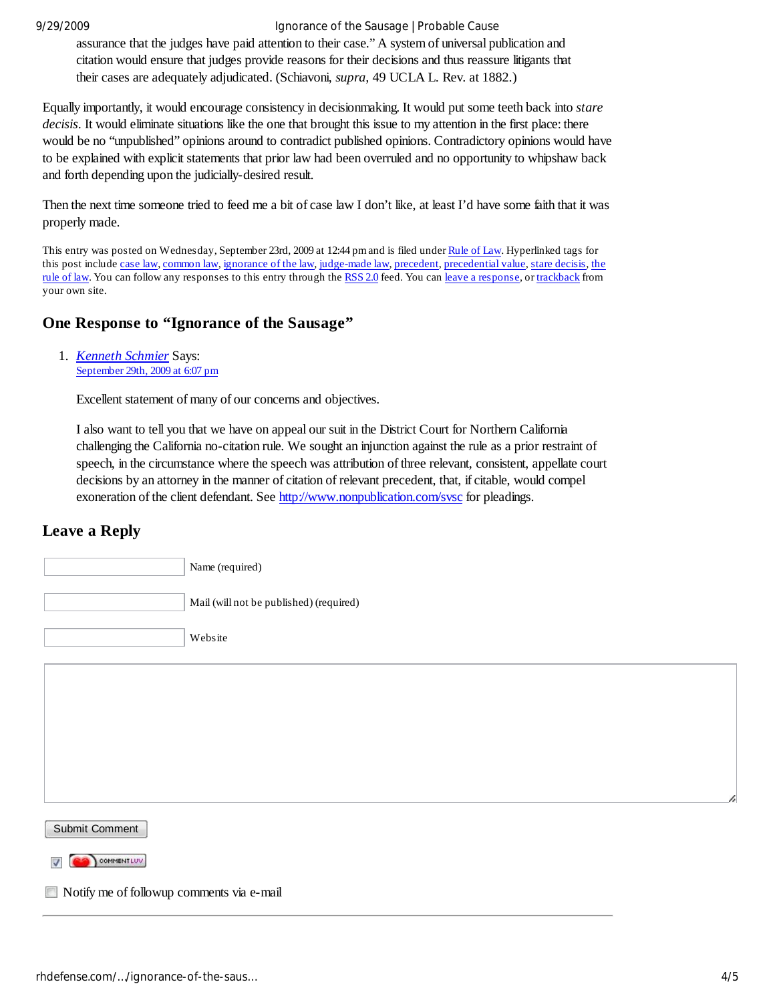#### 9/29/2009 Ignorance of the Sausage | Probable Cause

assurance that the judges have paid attention to their case." A system of universal publication and citation would ensure that judges provide reasons for their decisions and thus reassure litigants that their cases are adequately adjudicated. (Schiavoni, *supra,* 49 UCLA L. Rev. at 1882.)

Equally importantly, it would encourage consistency in decisionmaking. It would put some teeth back into *stare decisis*. It would eliminate situations like the one that brought this issue to my attention in the first place: there would be no "unpublished" opinions around to contradict published opinions. Contradictory opinions would have to be explained with explicit statements that prior law had been overruled and no opportunity to whipshaw back and forth depending upon the judicially-desired result.

Then the next time someone tried to feed me a bit of case law I don't like, at least I'd have some faith that it was properly made.

This entry was posted on Wednesday, September 23rd, 2009 at 12:44 pm and is filed under Rule of Law. Hyperlinked tags for this post include case law, common law, ignorance of the law, judge-made law, precedent, precedential value, stare decisis, the rule of law. You can follow any responses to this entry through the RSS 2.0 feed. You can leave a response, or trackback from your own site.

## **One Response to "Ignorance of the Sausage"**

1. *Kenneth Schmier* Says: September 29th, 2009 at 6:07 pm

Excellent statement of many of our concerns and objectives.

I also want to tell you that we have on appeal our suit in the District Court for Northern California challenging the California no-citation rule. We sought an injunction against the rule as a prior restraint of speech, in the circumstance where the speech was attribution of three relevant, consistent, appellate court decisions by an attorney in the manner of citation of relevant precedent, that, if citable, would compel exoneration of the client defendant. See http://www.nonpublication.com/svsc for pleadings.

## **Leave a Reply**

| Name (required)                         |
|-----------------------------------------|
| Mail (will not be published) (required) |
| Website                                 |